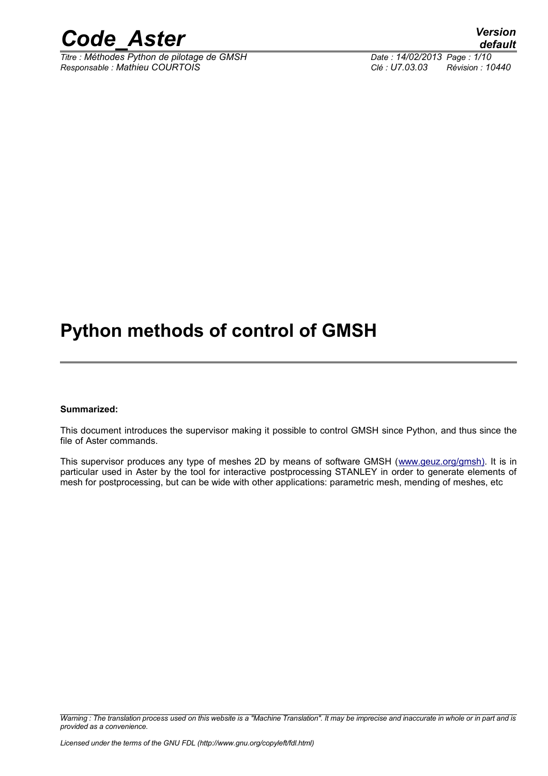

*Titre : Méthodes Python de pilotage de GMSH Date : 14/02/2013 Page : 1/10 Responsable : Mathieu COURTOIS Clé : U7.03.03 Révision : 10440*

# *default*

# **Python methods of control of GMSH**

### **Summarized:**

This document introduces the supervisor making it possible to control GMSH since Python, and thus since the file of Aster commands.

This supervisor produces any type of meshes 2D by means of software GMSH [\(www.geuz.org/gmsh\).](http://www.geuz.org/gmsh) It is in particular used in Aster by the tool for interactive postprocessing STANLEY in order to generate elements of mesh for postprocessing, but can be wide with other applications: parametric mesh, mending of meshes, etc

*Warning : The translation process used on this website is a "Machine Translation". It may be imprecise and inaccurate in whole or in part and is provided as a convenience.*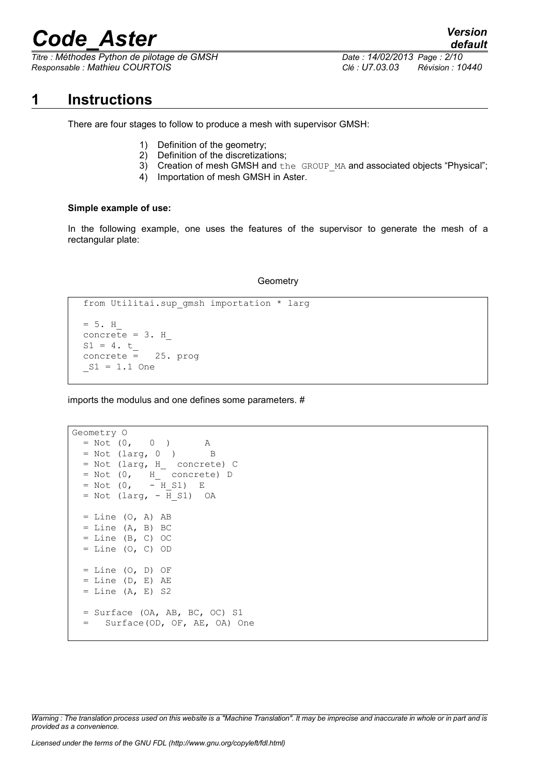*Titre : Méthodes Python de pilotage de GMSH Date : 14/02/2013 Page : 2/10 Responsable : Mathieu COURTOIS Clé : U7.03.03 Révision : 10440*

### **1 Instructions**

There are four stages to follow to produce a mesh with supervisor GMSH:

- 1) Definition of the geometry;
- 2) Definition of the discretizations;
- 3) Creation of mesh GMSH and the GROUP MA and associated objects "Physical";
- 4) Importation of mesh GMSH in Aster.

### **Simple example of use:**

In the following example, one uses the features of the supervisor to generate the mesh of a rectangular plate:

### **Geometry**

```
from Utilitai.sup gmsh importation * larg
= 5. Hconcrete = 3. HS1 = 4. t concrete = 25. prog
S1 = 1.1 One
```
imports the modulus and one defines some parameters. #

```
Geometry O 
 = Not (0, 0) A
 = Not (larg, 0 ) B
 = Not (larg, H_ concrete) C
 = Not (0, H_{\text{concrete}}) D<br>= Not (0, -H S1) E
 = Not (0, - H S1) E
 = Not (larg, - H S1) OA
 = Line (O, A) AB
 = Line (A, B) BC
 = Line (B, C) OC
 = Line (0, C) OD
 = Line (O, D) OF
 = Line (D, E) AE
 = Line (A, E) S2
  = Surface (OA, AB, BC, OC) S1
   = Surface(OD, OF, AE, OA) One
```
*Warning : The translation process used on this website is a "Machine Translation". It may be imprecise and inaccurate in whole or in part and is provided as a convenience.*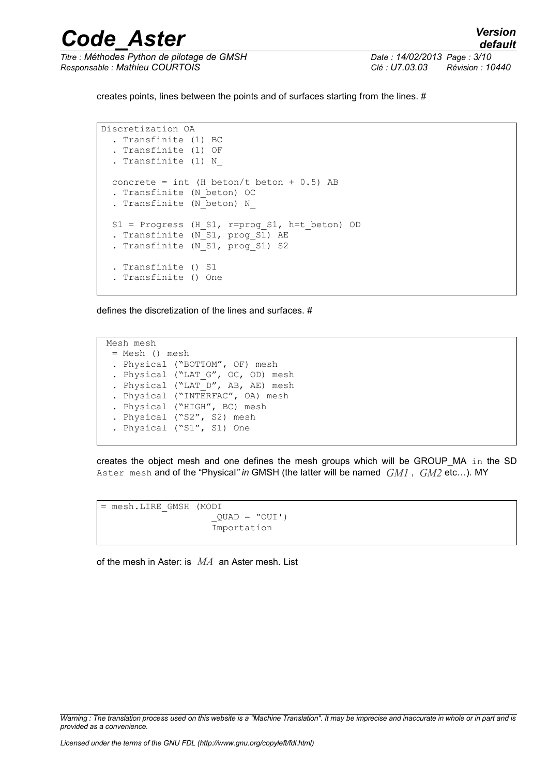*Titre : Méthodes Python de pilotage de GMSH Date : 14/02/2013 Page : 3/10 Responsable : Mathieu COURTOIS Clé : U7.03.03 Révision : 10440*

creates points, lines between the points and of surfaces starting from the lines. #

*Code\_Aster Version*

Discretization OA . Transfinite (1) BC . Transfinite (1) OF . Transfinite (1) N\_ concrete = int (H beton/t beton + 0.5) AB . Transfinite  $(N\bar{\text{beton}})$  OC . Transfinite (N beton) N  $S1$  = Progress (H S1, r=prog S1, h=t beton) OD . Transfinite (N S1, prog S1) AE . Transfinite (N\_S1, prog\_S1) S2 . Transfinite () S1 . Transfinite () One

defines the discretization of the lines and surfaces. #

Mesh mesh = Mesh () mesh . Physical ("BOTTOM", OF) mesh . Physical ("LAT G", OC, OD) mesh . Physical ("LAT D", AB, AE) mesh . Physical ("INTERFAC", OA) mesh . Physical ("HIGH", BC) mesh . Physical ("S2", S2) mesh . Physical ("S1", S1) One

creates the object mesh and one defines the mesh groups which will be GROUP\_MA in the SD Aster mesh and of the "Physical*" in* GMSH (the latter will be named *GM1* , *GM2* etc…). MY

```
= mesh.LIRE_GMSH (MODI
                     QUAD = "OUT') Importation
```
of the mesh in Aster: is *MA* an Aster mesh. List

*Warning : The translation process used on this website is a "Machine Translation". It may be imprecise and inaccurate in whole or in part and is provided as a convenience.*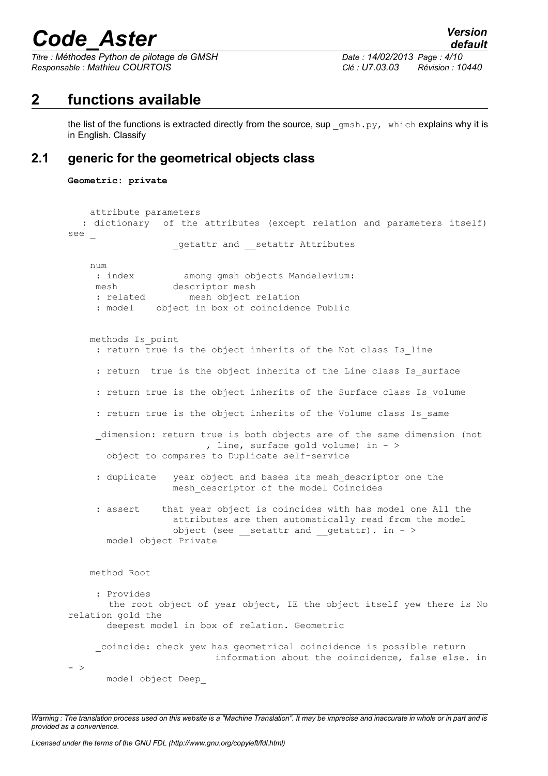*Titre : Méthodes Python de pilotage de GMSH Date : 14/02/2013 Page : 4/10 Responsable : Mathieu COURTOIS Clé : U7.03.03 Révision : 10440*

# **2 functions available**

the list of the functions is extracted directly from the source, sup  $\gamma$  omsh.py, which explains why it is in English. Classify

### **2.1 generic for the geometrical objects class**

```
Geometric: private
```

```
 attribute parameters
   : dictionary of the attributes (except relation and parameters itself)
see _
                  getattr and setattr Attributes
    num
    : index among gmsh objects Mandelevium:
     mesh descriptor mesh
     : related mesh object relation
     : model object in box of coincidence Public
    methods Is_point 
    : return true is the object inherits of the Not class Is line
    : return true is the object inherits of the Line class Is surface
     : return true is the object inherits of the Surface class Is volume
      : return true is the object inherits of the Volume class Is_same
    dimension: return true is both objects are of the same dimension (not
                         , line, surface gold volume) in - >
       object to compares to Duplicate self-service 
     : duplicate year object and bases its mesh descriptor one the
                   mesh_descriptor of the model Coincides
      : assert that year object is coincides with has model one All the
                   attributes are then automatically read from the model 
                  object (see setattr and getattr). in - >
       model object Private
    method Root 
      : Provides
        the root object of year object, IE the object itself yew there is No
relation gold the
       deepest model in box of relation. Geometric
     _coincide: check yew has geometrical coincidence is possible return
                           information about the coincidence, false else. in
- >
       model object Deep_
```
*Warning : The translation process used on this website is a "Machine Translation". It may be imprecise and inaccurate in whole or in part and is provided as a convenience.*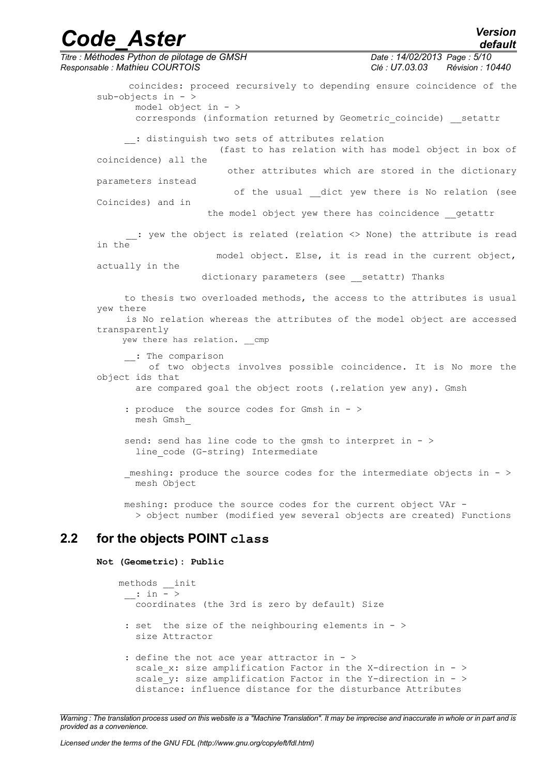## *Code\_Aster Version Titre : Méthodes Python de pilotage de GMSH Date : 14/02/2013 Page : 5/10 Responsable : Mathieu COURTOIS Clé : U7.03.03 Révision : 10440* coincides: proceed recursively to depending ensure coincidence of the sub-objects in - > model object in - > corresponds (information returned by Geometric\_coincide) \_\_setattr : distinguish two sets of attributes relation

 (fast to has relation with has model object in box of coincidence) all the

 other attributes which are stored in the dictionary parameters instead

of the usual dict yew there is No relation (see Coincides) and in

the model object yew there has coincidence getattr

*default*

 \_\_: yew the object is related (relation <> None) the attribute is read in the model object. Else, it is read in the current object,

actually in the

dictionary parameters (see \_\_ setattr) Thanks

 to thesis two overloaded methods, the access to the attributes is usual yew there is No relation whereas the attributes of the model object are accessed transparently

yew there has relation. cmp

\_\_: The comparison

 of two objects involves possible coincidence. It is No more the object ids that

are compared goal the object roots (.relation yew any). Gmsh

 : produce the source codes for Gmsh in - > mesh Gmsh\_

send: send has line code to the gmsh to interpret in  $-$  > line code (G-string) Intermediate

 \_meshing: produce the source codes for the intermediate objects in - > mesh Object

 meshing: produce the source codes for the current object VAr - > object number (modified yew several objects are created) Functions

## **2.2 for the objects POINT class**

### **Not (Geometric): Public**

```
 methods __init
\therefore in - >
       coordinates (the 3rd is zero by default) Size
     : set the size of the neighbouring elements in - >
       size Attractor
    : define the not ace year attractor in - >
      scale x: size amplification Factor in the X-direction in - >
      scale y: size amplification Factor in the Y-direction in - >
       distance: influence distance for the disturbance Attributes
```
*Warning : The translation process used on this website is a "Machine Translation". It may be imprecise and inaccurate in whole or in part and is provided as a convenience.*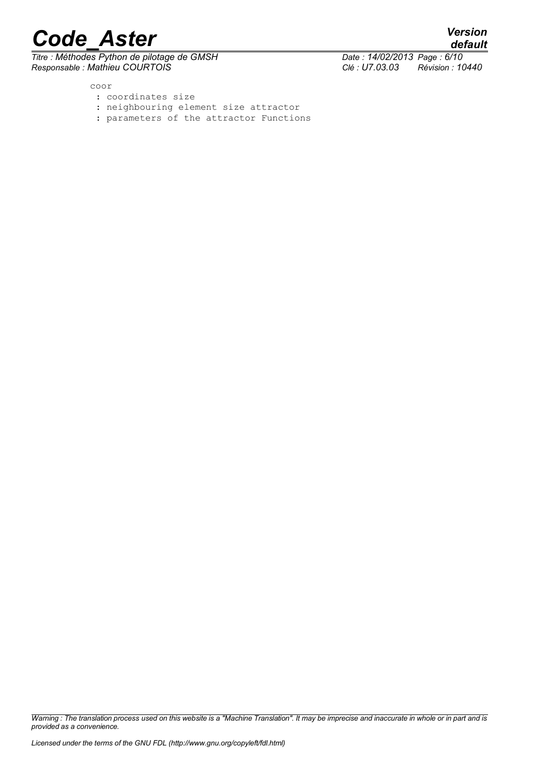$\overline{T}$ itre : Méthodes Python de pilotage de GMSH *Responsable : Mathieu COURTOIS Clé : U7.03.03 Révision : 10440*

*default*

coor

- : coordinates size
- : neighbouring element size attractor
- : parameters of the attractor Functions

*Warning : The translation process used on this website is a "Machine Translation". It may be imprecise and inaccurate in whole or in part and is provided as a convenience.*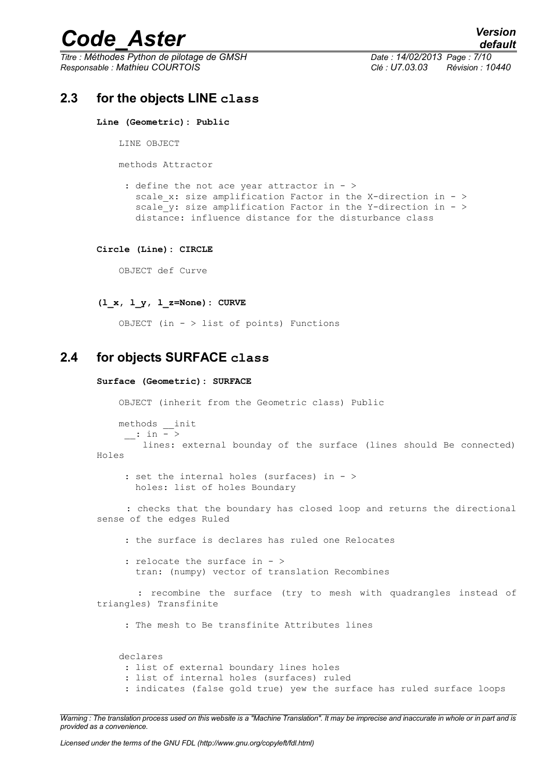*Titre : Méthodes Python de pilotage de GMSH Date : 14/02/2013 Page : 7/10 Responsable : Mathieu COURTOIS Clé : U7.03.03 Révision : 10440*

### **2.3 for the objects LINE class**

#### **Line (Geometric): Public**

LINE OBJECT

methods Attractor

: define the not ace year attractor in - > scale x: size amplification Factor in the X-direction in -  $>$ scale  $y$ : size amplification Factor in the Y-direction in - > distance: influence distance for the disturbance class

#### **Circle (Line): CIRCLE**

OBJECT def Curve

#### **(l\_x, l\_y, l\_z=None): CURVE**

OBJECT (in  $-$  > list of points) Functions

### **2.4 for objects SURFACE class**

#### **Surface (Geometric): SURFACE**

OBJECT (inherit from the Geometric class) Public

 methods \_\_init  $\cdot$  in  $\overline{-}$  >

 lines: external bounday of the surface (lines should Be connected) Holes

 : set the internal holes (surfaces) in - > holes: list of holes Boundary

 : checks that the boundary has closed loop and returns the directional sense of the edges Ruled

: the surface is declares has ruled one Relocates

 : relocate the surface in - > tran: (numpy) vector of translation Recombines

 : recombine the surface (try to mesh with quadrangles instead of triangles) Transfinite

: The mesh to Be transfinite Attributes lines

 declares : list of external boundary lines holes : list of internal holes (surfaces) ruled : indicates (false gold true) yew the surface has ruled surface loops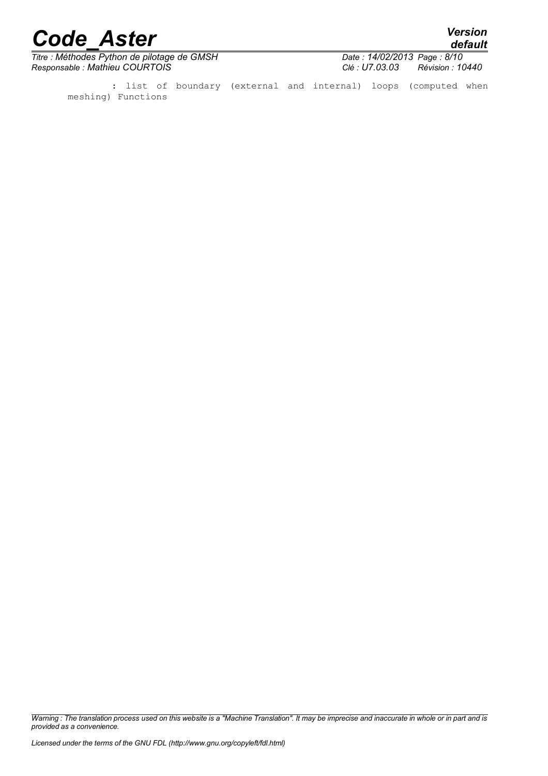*default*

*Titre : Méthodes Python de pilotage de GMSH Date : 14/02/2013 Date : 14/02/2013 Date : 14/02/2013 Page : Mathieu COURTOIS Responsable : Mathieu COURTOIS Clé : U7.03.03 Révision : 10440*

 : list of boundary (external and internal) loops (computed when meshing) Functions

*Warning : The translation process used on this website is a "Machine Translation". It may be imprecise and inaccurate in whole or in part and is provided as a convenience.*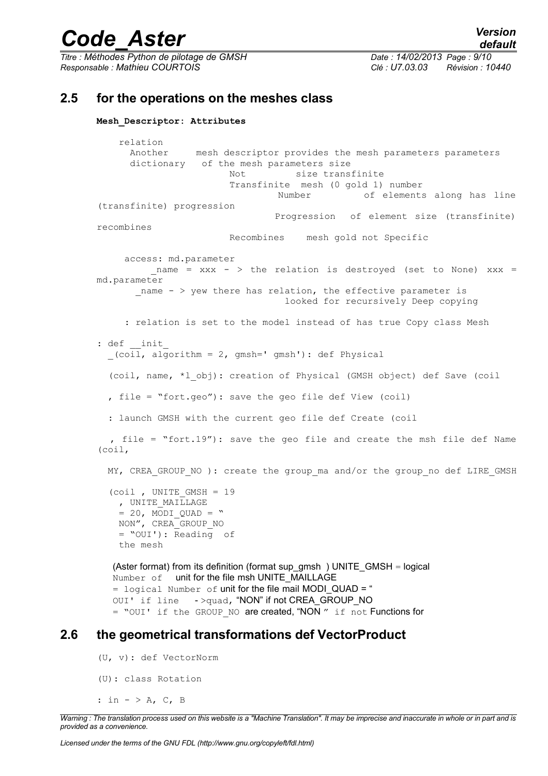*Titre : Méthodes Python de pilotage de GMSH Date : 14/02/2013 Page : 9/10 Responsable : Mathieu COURTOIS Clé : U7.03.03 Révision : 10440*

### **2.5 for the operations on the meshes class**

```
Mesh_Descriptor: Attributes
```
 relation Another mesh descriptor provides the mesh parameters parameters dictionary of the mesh parameters size Not size transfinite Transfinite mesh (0 gold 1) number Number of elements along has line (transfinite) progression Progression of element size (transfinite) recombines Recombines mesh gold not Specific access: md.parameter name =  $xxx - >$  the relation is destroyed (set to None)  $xxx =$ md.parameter name  $-$  > yew there has relation, the effective parameter is looked for recursively Deep copying : relation is set to the model instead of has true Copy class Mesh : def \_\_ init \_(coil, algorithm = 2, gmsh=' gmsh'): def Physical (coil, name, \*l\_obj): creation of Physical (GMSH object) def Save (coil , file = "fort.geo"): save the geo file def View (coil) : launch GMSH with the current geo file def Create (coil , file = "fort.19"): save the geo file and create the msh file def Name (coil, MY, CREA GROUP NO ): create the group ma and/or the group no def LIRE GMSH (coil , UNITE GMSH =  $19$ , UNITE MAILLAGE  $= 20$ , MODI QUAD = " NON", CREA\_GROUP\_NO = "OUI'): Reading of the mesh (Aster format) from its definition (format sup\_gmsh) UNITE\_GMSH = logical Number of unit for the file msh UNITE\_MAILLAGE

```
= logical Number of unit for the file mail MODI QUAD = "
OUI' if line ->quad, "NON" if not CREA GROUP NO
= "OUI' if the GROUP NO are created, "NON " if not Functions for
```
### **2.6 the geometrical transformations def VectorProduct**

(U, v): def VectorNorm (U): class Rotation : in  $-$  > A, C, B

*Warning : The translation process used on this website is a "Machine Translation". It may be imprecise and inaccurate in whole or in part and is provided as a convenience.*